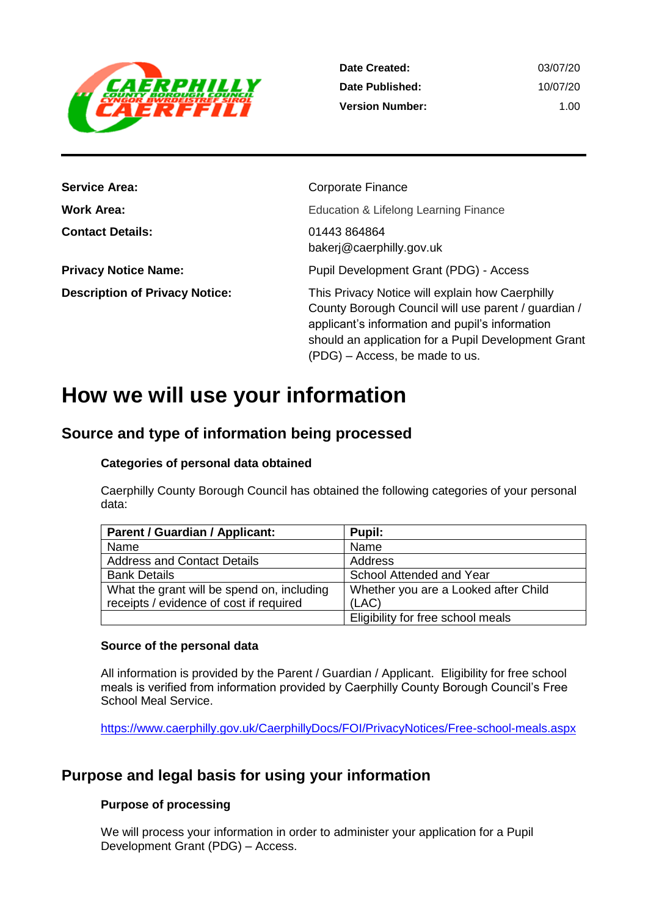

| Date Created:          | 03/07/20 |
|------------------------|----------|
| Date Published:        | 10/07/20 |
| <b>Version Number:</b> | 1 OO     |

| <b>Service Area:</b>                  | <b>Corporate Finance</b>                                                                                                                                                                                                                           |
|---------------------------------------|----------------------------------------------------------------------------------------------------------------------------------------------------------------------------------------------------------------------------------------------------|
| <b>Work Area:</b>                     | Education & Lifelong Learning Finance                                                                                                                                                                                                              |
| <b>Contact Details:</b>               | 01443 864864<br>bakerj@caerphilly.gov.uk                                                                                                                                                                                                           |
| <b>Privacy Notice Name:</b>           | Pupil Development Grant (PDG) - Access                                                                                                                                                                                                             |
| <b>Description of Privacy Notice:</b> | This Privacy Notice will explain how Caerphilly<br>County Borough Council will use parent / guardian /<br>applicant's information and pupil's information<br>should an application for a Pupil Development Grant<br>(PDG) – Access, be made to us. |

## **How we will use your information**

## **Source and type of information being processed**

#### **Categories of personal data obtained**

Caerphilly County Borough Council has obtained the following categories of your personal data:

| <b>Parent / Guardian / Applicant:</b>      | Pupil:                               |
|--------------------------------------------|--------------------------------------|
| Name                                       | Name                                 |
| <b>Address and Contact Details</b>         | Address                              |
| <b>Bank Details</b>                        | School Attended and Year             |
| What the grant will be spend on, including | Whether you are a Looked after Child |
| receipts / evidence of cost if required    | (LAC)                                |
|                                            | Eligibility for free school meals    |

#### **Source of the personal data**

All information is provided by the Parent / Guardian / Applicant. Eligibility for free school meals is verified from information provided by Caerphilly County Borough Council's Free School Meal Service.

<https://www.caerphilly.gov.uk/CaerphillyDocs/FOI/PrivacyNotices/Free-school-meals.aspx>

## **Purpose and legal basis for using your information**

#### **Purpose of processing**

We will process your information in order to administer your application for a Pupil Development Grant (PDG) – Access.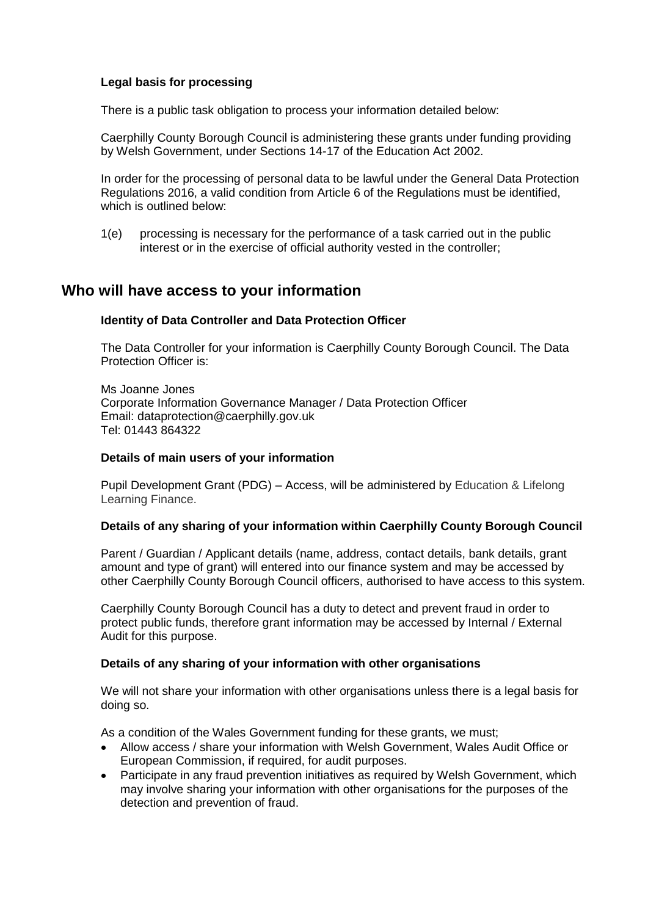#### **Legal basis for processing**

There is a public task obligation to process your information detailed below:

Caerphilly County Borough Council is administering these grants under funding providing by Welsh Government, under Sections 14-17 of the Education Act 2002.

In order for the processing of personal data to be lawful under the General Data Protection Regulations 2016, a valid condition from Article 6 of the Regulations must be identified, which is outlined below:

1(e) processing is necessary for the performance of a task carried out in the public interest or in the exercise of official authority vested in the controller;

### **Who will have access to your information**

#### **Identity of Data Controller and Data Protection Officer**

The Data Controller for your information is Caerphilly County Borough Council. The Data Protection Officer is:

Ms Joanne Jones Corporate Information Governance Manager / Data Protection Officer Email: dataprotection@caerphilly.gov.uk Tel: 01443 864322

#### **Details of main users of your information**

Pupil Development Grant (PDG) – Access, will be administered by Education & Lifelong Learning Finance.

#### **Details of any sharing of your information within Caerphilly County Borough Council**

Parent / Guardian / Applicant details (name, address, contact details, bank details, grant amount and type of grant) will entered into our finance system and may be accessed by other Caerphilly County Borough Council officers, authorised to have access to this system.

Caerphilly County Borough Council has a duty to detect and prevent fraud in order to protect public funds, therefore grant information may be accessed by Internal / External Audit for this purpose.

#### **Details of any sharing of your information with other organisations**

We will not share your information with other organisations unless there is a legal basis for doing so.

As a condition of the Wales Government funding for these grants, we must;

- Allow access / share your information with Welsh Government, Wales Audit Office or European Commission, if required, for audit purposes.
- Participate in any fraud prevention initiatives as required by Welsh Government, which may involve sharing your information with other organisations for the purposes of the detection and prevention of fraud.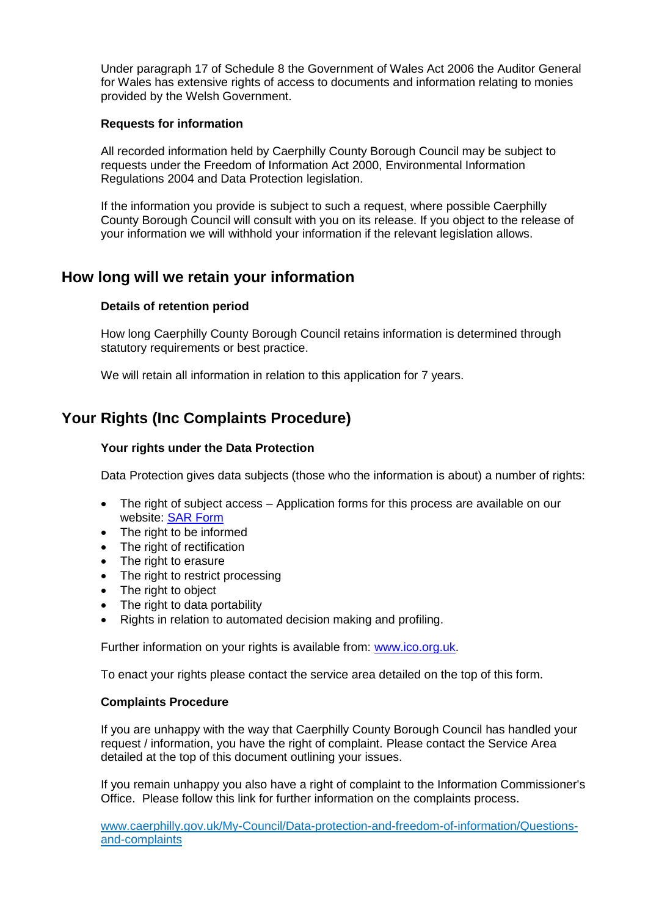Under paragraph 17 of Schedule 8 the Government of Wales Act 2006 the Auditor General for Wales has extensive rights of access to documents and information relating to monies provided by the Welsh Government.

#### **Requests for information**

All recorded information held by Caerphilly County Borough Council may be subject to requests under the Freedom of Information Act 2000, Environmental Information Regulations 2004 and Data Protection legislation.

If the information you provide is subject to such a request, where possible Caerphilly County Borough Council will consult with you on its release. If you object to the release of your information we will withhold your information if the relevant legislation allows.

## **How long will we retain your information**

#### **Details of retention period**

How long Caerphilly County Borough Council retains information is determined through statutory requirements or best practice.

We will retain all information in relation to this application for 7 years.

## **Your Rights (Inc Complaints Procedure)**

#### **Your rights under the Data Protection**

Data Protection gives data subjects (those who the information is about) a number of rights:

- The right of subject access Application forms for this process are available on our website: [SAR Form](http://www.caerphilly.gov.uk/CaerphillyDocs/Council-and-democracy/sar_form.aspx)
- The right to be informed
- The right of rectification
- The right to erasure
- The right to restrict processing
- The right to object
- The right to data portability
- Rights in relation to automated decision making and profiling.

Further information on your rights is available from: [www.ico.org.uk.](http://www.ico.org.uk/)

To enact your rights please contact the service area detailed on the top of this form.

#### **Complaints Procedure**

If you are unhappy with the way that Caerphilly County Borough Council has handled your request / information, you have the right of complaint. Please contact the Service Area detailed at the top of this document outlining your issues.

If you remain unhappy you also have a right of complaint to the Information Commissioner's Office. Please follow this link for further information on the complaints process.

[www.caerphilly.gov.uk/My-Council/Data-protection-and-freedom-of-information/Questions](http://www.caerphilly.gov.uk/My-Council/Data-protection-and-freedom-of-information/Questions-and-complaints)[and-complaints](http://www.caerphilly.gov.uk/My-Council/Data-protection-and-freedom-of-information/Questions-and-complaints)